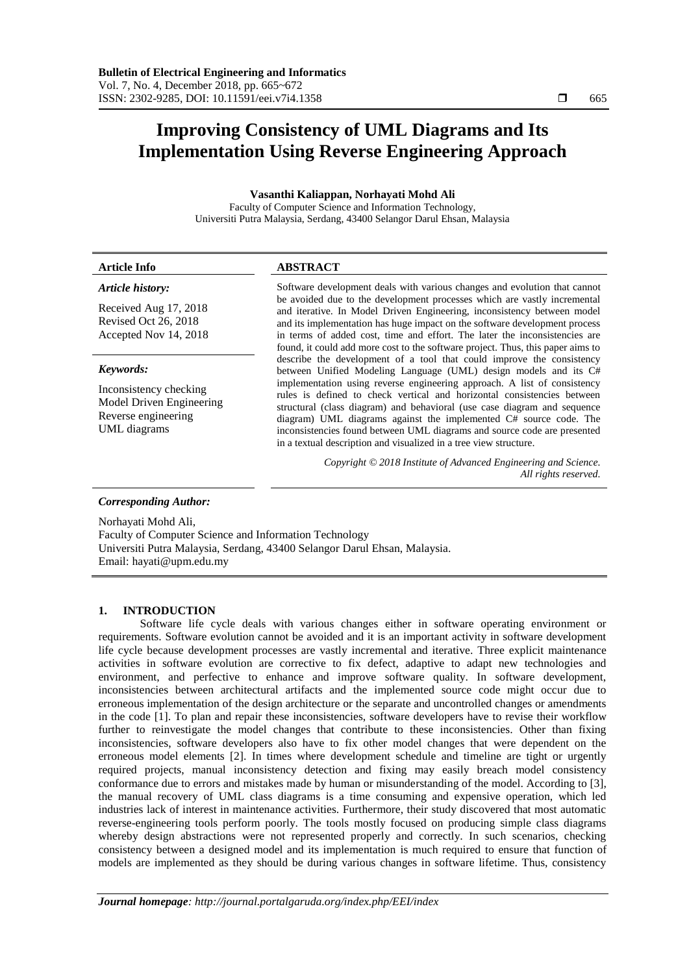# **Improving Consistency of UML Diagrams and Its Implementation Using Reverse Engineering Approach**

**Vasanthi Kaliappan, Norhayati Mohd Ali**

Faculty of Computer Science and Information Technology, Universiti Putra Malaysia, Serdang, 43400 Selangor Darul Ehsan, Malaysia

# **Article Info ABSTRACT**

# *Article history:*

Received Aug 17, 2018 Revised Oct 26, 2018 Accepted Nov 14, 2018

### *Keywords:*

Inconsistency checking Model Driven Engineering Reverse engineering UML diagrams

Software development deals with various changes and evolution that cannot be avoided due to the development processes which are vastly incremental and iterative. In Model Driven Engineering, inconsistency between model and its implementation has huge impact on the software development process in terms of added cost, time and effort. The later the inconsistencies are found, it could add more cost to the software project. Thus, this paper aims to describe the development of a tool that could improve the consistency between Unified Modeling Language (UML) design models and its C# implementation using reverse engineering approach. A list of consistency rules is defined to check vertical and horizontal consistencies between structural (class diagram) and behavioral (use case diagram and sequence diagram) UML diagrams against the implemented C# source code. The inconsistencies found between UML diagrams and source code are presented in a textual description and visualized in a tree view structure.

> *Copyright © 2018 Institute of Advanced Engineering and Science. All rights reserved.*

# *Corresponding Author:*

Norhayati Mohd Ali, Faculty of Computer Science and Information Technology Universiti Putra Malaysia, Serdang, 43400 Selangor Darul Ehsan, Malaysia. Email: hayati@upm.edu.my

# **1. INTRODUCTION**

Software life cycle deals with various changes either in software operating environment or requirements. Software evolution cannot be avoided and it is an important activity in software development life cycle because development processes are vastly incremental and iterative. Three explicit maintenance activities in software evolution are corrective to fix defect, adaptive to adapt new technologies and environment, and perfective to enhance and improve software quality. In software development, inconsistencies between architectural artifacts and the implemented source code might occur due to erroneous implementation of the design architecture or the separate and uncontrolled changes or amendments in the code [1]. To plan and repair these inconsistencies, software developers have to revise their workflow further to reinvestigate the model changes that contribute to these inconsistencies. Other than fixing inconsistencies, software developers also have to fix other model changes that were dependent on the erroneous model elements [2]. In times where development schedule and timeline are tight or urgently required projects, manual inconsistency detection and fixing may easily breach model consistency conformance due to errors and mistakes made by human or misunderstanding of the model. According to [3], the manual recovery of UML class diagrams is a time consuming and expensive operation, which led industries lack of interest in maintenance activities. Furthermore, their study discovered that most automatic reverse-engineering tools perform poorly. The tools mostly focused on producing simple class diagrams whereby design abstractions were not represented properly and correctly. In such scenarios, checking consistency between a designed model and its implementation is much required to ensure that function of models are implemented as they should be during various changes in software lifetime. Thus, consistency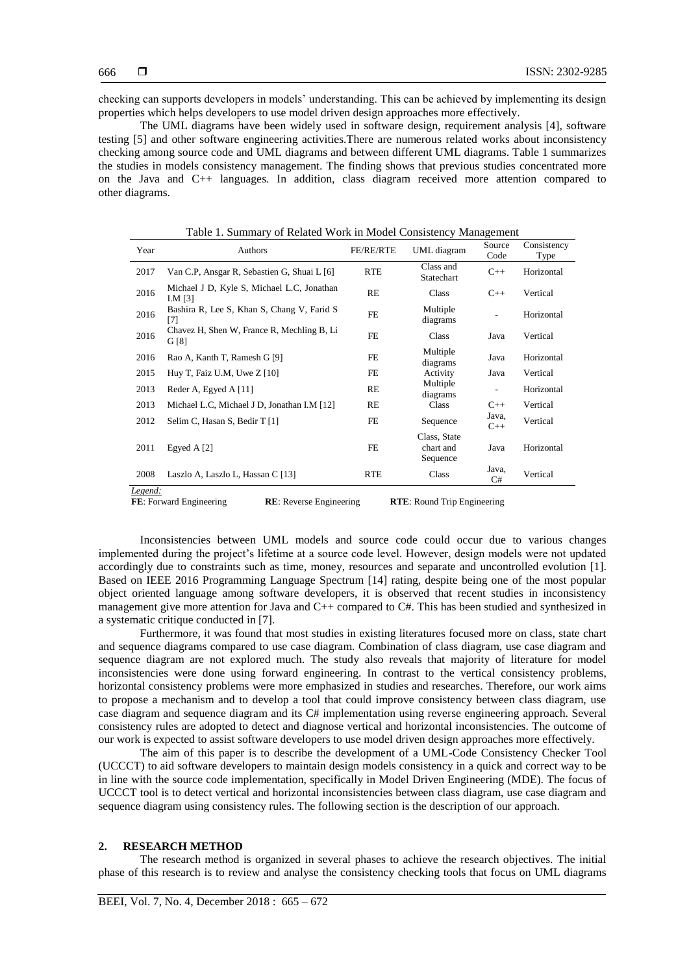checking can supports developers in models' understanding. This can be achieved by implementing its design properties which helps developers to use model driven design approaches more effectively.

The UML diagrams have been widely used in software design, requirement analysis [4], software testing [5] and other software engineering activities.There are numerous related works about inconsistency checking among source code and UML diagrams and between different UML diagrams. Table 1 summarizes the studies in models consistency management. The finding shows that previous studies concentrated more on the Java and C++ languages. In addition, class diagram received more attention compared to other diagrams.

| Year    | Authors                                                 | FE/RE/RTE  | UML diagram                           | Source<br>Code           | Consistency<br>Type |
|---------|---------------------------------------------------------|------------|---------------------------------------|--------------------------|---------------------|
| 2017    | Van C.P, Ansgar R, Sebastien G, Shuai L [6]             | <b>RTE</b> | Class and<br>Statechart               | $C++$                    | Horizontal          |
| 2016    | Michael J D, Kyle S, Michael L.C, Jonathan<br>I.M $[3]$ | <b>RE</b>  | Class                                 | $C++$                    | Vertical            |
| 2016    | Bashira R, Lee S, Khan S, Chang V, Farid S<br>[7]       | FE         | Multiple<br>diagrams                  | $\overline{\phantom{a}}$ | Horizontal          |
| 2016    | Chavez H, Shen W, France R, Mechling B, Li<br>G[8]      | <b>FE</b>  | Class                                 | Java                     | Vertical            |
| 2016    | Rao A, Kanth T, Ramesh G [9]                            | FE         | Multiple<br>diagrams                  | Java                     | Horizontal          |
| 2015    | Huy T, Faiz U.M, Uwe Z [10]                             | FE         | Activity                              | Java                     | Vertical            |
| 2013    | Reder A, Egyed A [11]                                   | RE         | Multiple<br>diagrams                  |                          | Horizontal          |
| 2013    | Michael L.C, Michael J D, Jonathan I.M [12]             | RE         | Class                                 | $C++$                    | Vertical            |
| 2012    | Selim C, Hasan S, Bedir T [1]                           | FE         | Sequence                              | Java,<br>$C++$           | Vertical            |
| 2011    | Egyed A [2]                                             | FE         | Class, State<br>chart and<br>Sequence | Java                     | Horizontal          |
| 2008    | Laszlo A, Laszlo L, Hassan C [13]                       | <b>RTE</b> | Class                                 | Java,<br>C#              | Vertical            |
| Legend: |                                                         |            |                                       |                          |                     |

Table 1. Summary of Related Work in Model Consistency Management

**FE**: Forward Engineering **RE**: Reverse Engineering **RTE**: Round Trip Engineering

Inconsistencies between UML models and source code could occur due to various changes implemented during the project's lifetime at a source code level. However, design models were not updated accordingly due to constraints such as time, money, resources and separate and uncontrolled evolution [1]. Based on IEEE 2016 Programming Language Spectrum [14] rating, despite being one of the most popular object oriented language among software developers, it is observed that recent studies in inconsistency management give more attention for Java and C++ compared to C#. This has been studied and synthesized in a systematic critique conducted in [7].

Furthermore, it was found that most studies in existing literatures focused more on class, state chart and sequence diagrams compared to use case diagram. Combination of class diagram, use case diagram and sequence diagram are not explored much. The study also reveals that majority of literature for model inconsistencies were done using forward engineering. In contrast to the vertical consistency problems, horizontal consistency problems were more emphasized in studies and researches. Therefore, our work aims to propose a mechanism and to develop a tool that could improve consistency between class diagram, use case diagram and sequence diagram and its C# implementation using reverse engineering approach. Several consistency rules are adopted to detect and diagnose vertical and horizontal inconsistencies. The outcome of our work is expected to assist software developers to use model driven design approaches more effectively.

The aim of this paper is to describe the development of a UML-Code Consistency Checker Tool (UCCCT) to aid software developers to maintain design models consistency in a quick and correct way to be in line with the source code implementation, specifically in Model Driven Engineering (MDE). The focus of UCCCT tool is to detect vertical and horizontal inconsistencies between class diagram, use case diagram and sequence diagram using consistency rules. The following section is the description of our approach.

#### **2. RESEARCH METHOD**

The research method is organized in several phases to achieve the research objectives. The initial phase of this research is to review and analyse the consistency checking tools that focus on UML diagrams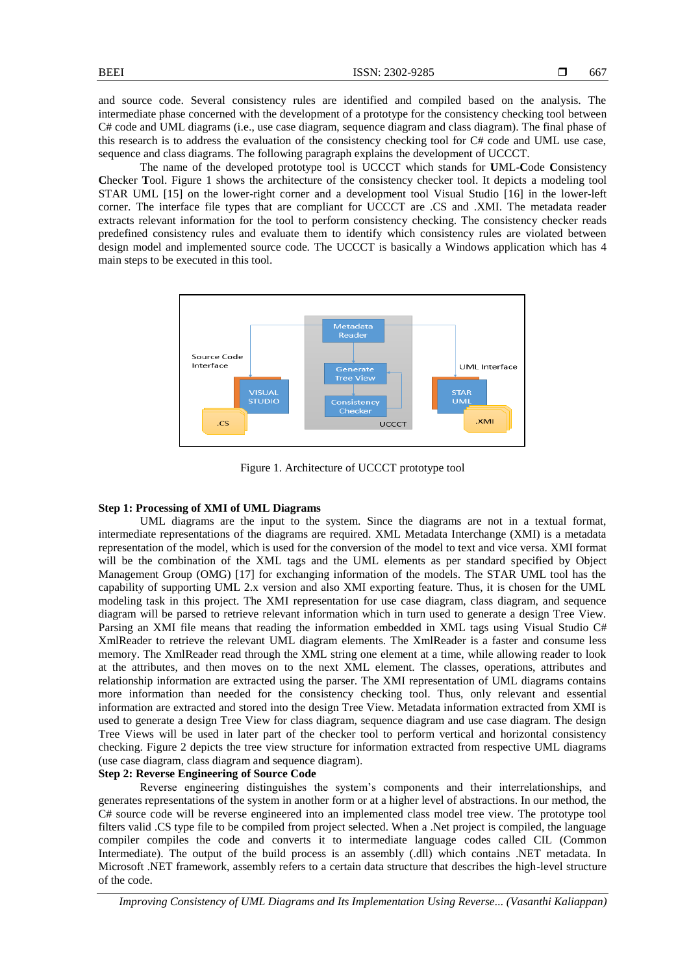and source code. Several consistency rules are identified and compiled based on the analysis. The intermediate phase concerned with the development of a prototype for the consistency checking tool between C# code and UML diagrams (i.e., use case diagram, sequence diagram and class diagram). The final phase of this research is to address the evaluation of the consistency checking tool for C# code and UML use case, sequence and class diagrams. The following paragraph explains the development of UCCCT.

The name of the developed prototype tool is UCCCT which stands for **U**ML-**C**ode **C**onsistency **C**hecker **T**ool. Figure 1 shows the architecture of the consistency checker tool. It depicts a modeling tool STAR UML [15] on the lower-right corner and a development tool Visual Studio [16] in the lower-left corner. The interface file types that are compliant for UCCCT are .CS and .XMI. The metadata reader extracts relevant information for the tool to perform consistency checking. The consistency checker reads predefined consistency rules and evaluate them to identify which consistency rules are violated between design model and implemented source code. The UCCCT is basically a Windows application which has 4 main steps to be executed in this tool.



Figure 1. Architecture of UCCCT prototype tool

# **Step 1: Processing of XMI of UML Diagrams**

UML diagrams are the input to the system. Since the diagrams are not in a textual format, intermediate representations of the diagrams are required. XML Metadata Interchange (XMI) is a metadata representation of the model, which is used for the conversion of the model to text and vice versa. XMI format will be the combination of the XML tags and the UML elements as per standard specified by Object Management Group (OMG) [17] for exchanging information of the models. The STAR UML tool has the capability of supporting UML 2.x version and also XMI exporting feature. Thus, it is chosen for the UML modeling task in this project. The XMI representation for use case diagram, class diagram, and sequence diagram will be parsed to retrieve relevant information which in turn used to generate a design Tree View. Parsing an XMI file means that reading the information embedded in XML tags using Visual Studio C# XmlReader to retrieve the relevant UML diagram elements. The XmlReader is a faster and consume less memory. The XmlReader read through the XML string one element at a time, while allowing reader to look at the attributes, and then moves on to the next XML element. The classes, operations, attributes and relationship information are extracted using the parser. The XMI representation of UML diagrams contains more information than needed for the consistency checking tool. Thus, only relevant and essential information are extracted and stored into the design Tree View. Metadata information extracted from XMI is used to generate a design Tree View for class diagram, sequence diagram and use case diagram. The design Tree Views will be used in later part of the checker tool to perform vertical and horizontal consistency checking. Figure 2 depicts the tree view structure for information extracted from respective UML diagrams (use case diagram, class diagram and sequence diagram).

# **Step 2: Reverse Engineering of Source Code**

Reverse engineering distinguishes the system's components and their interrelationships, and generates representations of the system in another form or at a higher level of abstractions. In our method, the C# source code will be reverse engineered into an implemented class model tree view. The prototype tool filters valid .CS type file to be compiled from project selected. When a .Net project is compiled, the language compiler compiles the code and converts it to intermediate language codes called CIL (Common Intermediate). The output of the build process is an assembly (.dll) which contains .NET metadata. In Microsoft .NET framework, assembly refers to a certain data structure that describes the high-level structure of the code.

*Improving Consistency of UML Diagrams and Its Implementation Using Reverse... (Vasanthi Kaliappan)*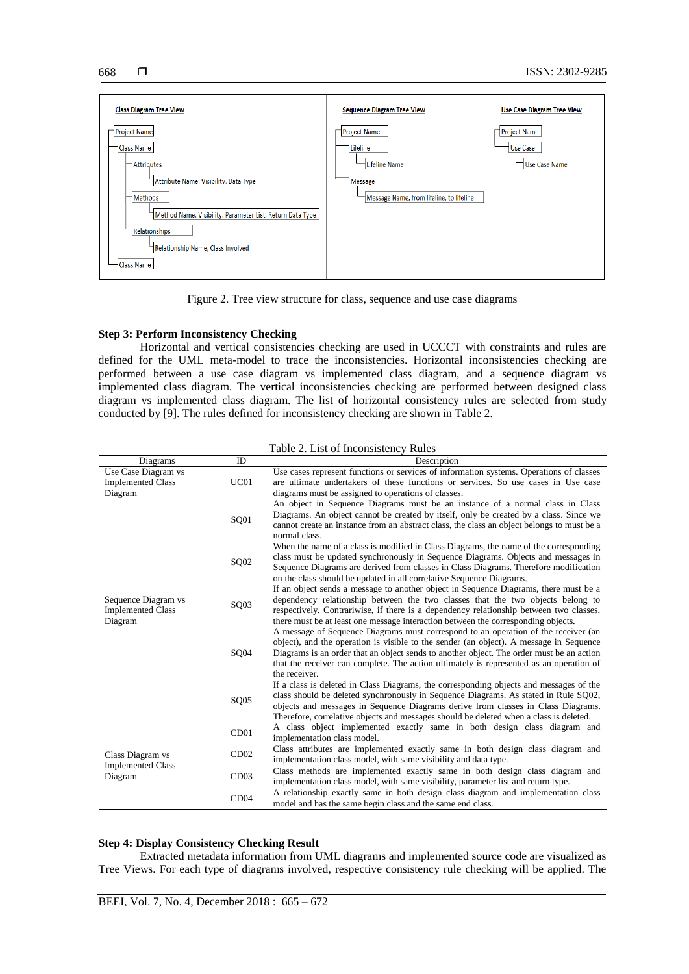



Figure 2. Tree view structure for class, sequence and use case diagrams

# **Step 3: Perform Inconsistency Checking**

Horizontal and vertical consistencies checking are used in UCCCT with constraints and rules are defined for the UML meta-model to trace the inconsistencies. Horizontal inconsistencies checking are performed between a use case diagram vs implemented class diagram, and a sequence diagram vs implemented class diagram. The vertical inconsistencies checking are performed between designed class diagram vs implemented class diagram. The list of horizontal consistency rules are selected from study conducted by [9]. The rules defined for inconsistency checking are shown in Table 2.

| Lable 2. List of Hiconsistency Rules                       |                  |                                                                                                                                                                                                                                                                                                                                                                                      |  |  |  |  |  |  |
|------------------------------------------------------------|------------------|--------------------------------------------------------------------------------------------------------------------------------------------------------------------------------------------------------------------------------------------------------------------------------------------------------------------------------------------------------------------------------------|--|--|--|--|--|--|
| Diagrams                                                   | ID               | Description                                                                                                                                                                                                                                                                                                                                                                          |  |  |  |  |  |  |
| Use Case Diagram vs<br><b>Implemented Class</b><br>Diagram | UC01             | Use cases represent functions or services of information systems. Operations of classes<br>are ultimate undertakers of these functions or services. So use cases in Use case<br>diagrams must be assigned to operations of classes.                                                                                                                                                  |  |  |  |  |  |  |
|                                                            | SQ01             | An object in Sequence Diagrams must be an instance of a normal class in Class<br>Diagrams. An object cannot be created by itself, only be created by a class. Since we<br>cannot create an instance from an abstract class, the class an object belongs to must be a<br>normal class.                                                                                                |  |  |  |  |  |  |
|                                                            | SQ02             | When the name of a class is modified in Class Diagrams, the name of the corresponding<br>class must be updated synchronously in Sequence Diagrams. Objects and messages in<br>Sequence Diagrams are derived from classes in Class Diagrams. Therefore modification<br>on the class should be updated in all correlative Sequence Diagrams.                                           |  |  |  |  |  |  |
| Sequence Diagram vs<br><b>Implemented Class</b><br>Diagram | SO <sub>03</sub> | If an object sends a message to another object in Sequence Diagrams, there must be a<br>dependency relationship between the two classes that the two objects belong to<br>respectively. Contrariwise, if there is a dependency relationship between two classes,<br>there must be at least one message interaction between the corresponding objects.                                |  |  |  |  |  |  |
|                                                            | SQ04             | A message of Sequence Diagrams must correspond to an operation of the receiver (an<br>object), and the operation is visible to the sender (an object). A message in Sequence<br>Diagrams is an order that an object sends to another object. The order must be an action<br>that the receiver can complete. The action ultimately is represented as an operation of<br>the receiver. |  |  |  |  |  |  |
|                                                            | SO <sub>05</sub> | If a class is deleted in Class Diagrams, the corresponding objects and messages of the<br>class should be deleted synchronously in Sequence Diagrams. As stated in Rule SO02,<br>objects and messages in Sequence Diagrams derive from classes in Class Diagrams.<br>Therefore, correlative objects and messages should be deleted when a class is deleted.                          |  |  |  |  |  |  |
|                                                            | CD <sub>01</sub> | A class object implemented exactly same in both design class diagram and<br>implementation class model.                                                                                                                                                                                                                                                                              |  |  |  |  |  |  |
| Class Diagram vs                                           | CD02             | Class attributes are implemented exactly same in both design class diagram and<br>implementation class model, with same visibility and data type.                                                                                                                                                                                                                                    |  |  |  |  |  |  |
| <b>Implemented Class</b><br>Diagram                        | CD03             | Class methods are implemented exactly same in both design class diagram and<br>implementation class model, with same visibility, parameter list and return type.                                                                                                                                                                                                                     |  |  |  |  |  |  |
|                                                            | CD04             | A relationship exactly same in both design class diagram and implementation class<br>model and has the same begin class and the same end class.                                                                                                                                                                                                                                      |  |  |  |  |  |  |

# Table 2. List of Inconsistency Rules

# **Step 4: Display Consistency Checking Result**

Extracted metadata information from UML diagrams and implemented source code are visualized as Tree Views. For each type of diagrams involved, respective consistency rule checking will be applied. The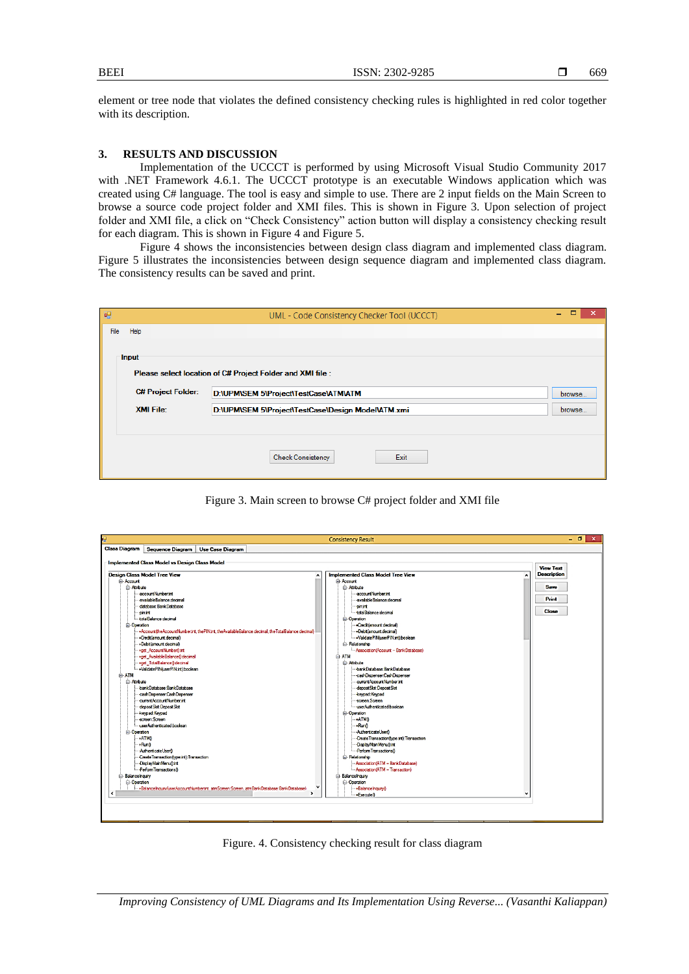element or tree node that violates the defined consistency checking rules is highlighted in red color together with its description.

#### **3. RESULTS AND DISCUSSION**

Implementation of the UCCCT is performed by using Microsoft Visual Studio Community 2017 with .NET Framework 4.6.1. The UCCCT prototype is an executable Windows application which was created using C# language. The tool is easy and simple to use. There are 2 input fields on the Main Screen to browse a source code project folder and XMI files. This is shown in Figure 3. Upon selection of project folder and XMI file, a click on "Check Consistency" action button will display a consistency checking result for each diagram. This is shown in Figure 4 and Figure 5.

Figure 4 shows the inconsistencies between design class diagram and implemented class diagram. Figure 5 illustrates the inconsistencies between design sequence diagram and implemented class diagram. The consistency results can be saved and print.

| 硘                                                          |                                                                        | UML - Code Consistency Checker Tool (UCCCT) | □<br>× |  |  |  |  |  |  |
|------------------------------------------------------------|------------------------------------------------------------------------|---------------------------------------------|--------|--|--|--|--|--|--|
| File                                                       | Help                                                                   |                                             |        |  |  |  |  |  |  |
|                                                            | Input                                                                  |                                             |        |  |  |  |  |  |  |
| Please select location of C# Project Folder and XMI file : |                                                                        |                                             |        |  |  |  |  |  |  |
|                                                            | <b>C# Project Folder:</b><br>D:\UPM\SEM 5\Project\TestCase\ATM\ATM     |                                             |        |  |  |  |  |  |  |
|                                                            | <b>XMI File:</b><br>D:\UPM\SEM 5\Project\TestCase\Design Model\ATM.xmi |                                             |        |  |  |  |  |  |  |
|                                                            |                                                                        |                                             |        |  |  |  |  |  |  |
|                                                            |                                                                        | Exit<br><b>Check Consistency</b>            |        |  |  |  |  |  |  |

Figure 3. Main screen to browse C# project folder and XMI file



Figure. 4. Consistency checking result for class diagram

*Improving Consistency of UML Diagrams and Its Implementation Using Reverse... (Vasanthi Kaliappan)*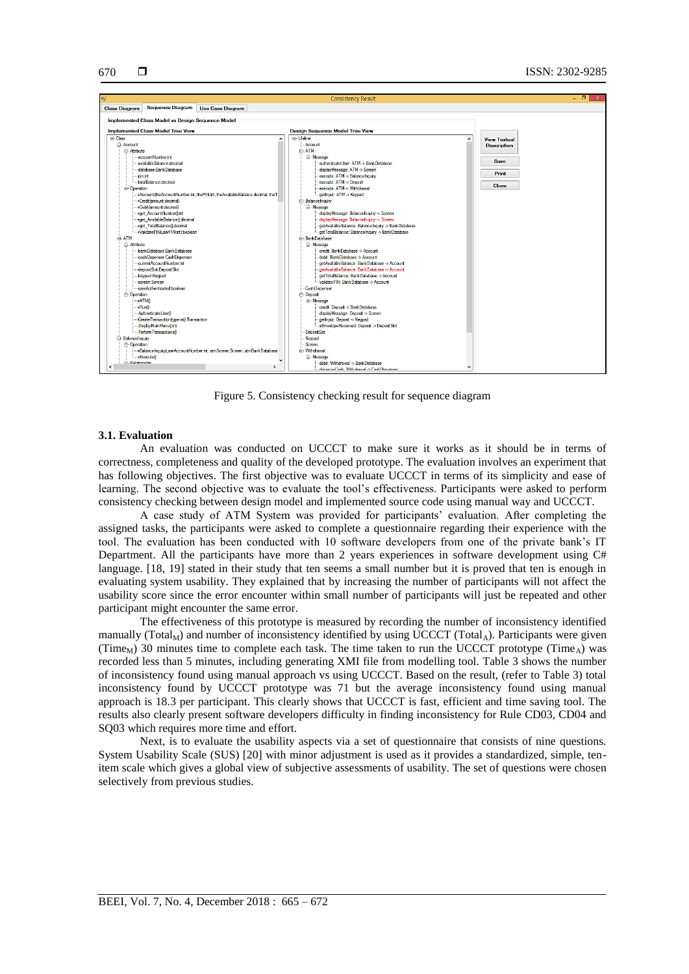

Figure 5. Consistency checking result for sequence diagram

# **3.1. Evaluation**

An evaluation was conducted on UCCCT to make sure it works as it should be in terms of correctness, completeness and quality of the developed prototype. The evaluation involves an experiment that has following objectives. The first objective was to evaluate UCCCT in terms of its simplicity and ease of learning. The second objective was to evaluate the tool's effectiveness. Participants were asked to perform consistency checking between design model and implemented source code using manual way and UCCCT.

A case study of ATM System was provided for participants' evaluation. After completing the assigned tasks, the participants were asked to complete a questionnaire regarding their experience with the tool. The evaluation has been conducted with 10 software developers from one of the private bank's IT Department. All the participants have more than 2 years experiences in software development using C# language. [18, 19] stated in their study that ten seems a small number but it is proved that ten is enough in evaluating system usability. They explained that by increasing the number of participants will not affect the usability score since the error encounter within small number of participants will just be repeated and other participant might encounter the same error.

The effectiveness of this prototype is measured by recording the number of inconsistency identified manually (Total<sub>M</sub>) and number of inconsistency identified by using UCCCT (Total<sub>A</sub>). Participants were given (Time<sub>M</sub>) 30 minutes time to complete each task. The time taken to run the UCCCT prototype (Time<sub>A</sub>) was recorded less than 5 minutes, including generating XMI file from modelling tool. Table 3 shows the number of inconsistency found using manual approach vs using UCCCT. Based on the result, (refer to Table 3) total inconsistency found by UCCCT prototype was 71 but the average inconsistency found using manual approach is 18.3 per participant. This clearly shows that UCCCT is fast, efficient and time saving tool. The results also clearly present software developers difficulty in finding inconsistency for Rule CD03, CD04 and SQ03 which requires more time and effort.

Next, is to evaluate the usability aspects via a set of questionnaire that consists of nine questions. System Usability Scale (SUS) [20] with minor adjustment is used as it provides a standardized, simple, tenitem scale which gives a global view of subjective assessments of usability. The set of questions were chosen selectively from previous studies.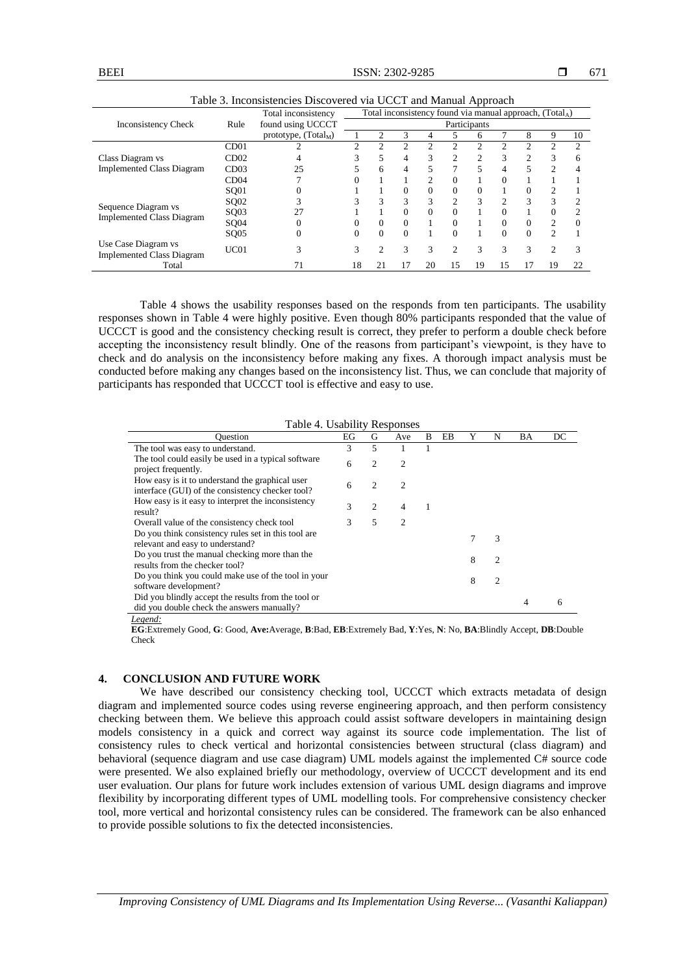|                                  |                  | Total inconsistency found via manual approach, $(Total_A)$<br>Total inconsistency |              |              |          |                |                             |                |               |                |                |                             |
|----------------------------------|------------------|-----------------------------------------------------------------------------------|--------------|--------------|----------|----------------|-----------------------------|----------------|---------------|----------------|----------------|-----------------------------|
| <b>Inconsistency Check</b>       | Rule             | found using UCCCT                                                                 | Participants |              |          |                |                             |                |               |                |                |                             |
|                                  |                  | prototype, $(Total_M)$                                                            |              |              |          | 4              |                             | 6              |               | 8              | 9              | 10                          |
|                                  | CD01             |                                                                                   |              |              | 2        | $\mathcal{D}$  | C                           | $\mathfrak{D}$ |               |                | ◠              | $\mathcal{L}$               |
| Class Diagram vs                 | CD02             |                                                                                   |              | 5            | 4        | 3              | $\overline{c}$              | $\overline{c}$ | 3             | $\mathfrak{D}$ | 3              | 6                           |
| <b>Implemented Class Diagram</b> | CD <sub>03</sub> | 25                                                                                |              | 6            | 4        | 5              | $\tau$                      | 5              | 4             | 5              | $\mathfrak{D}$ | 4                           |
|                                  | CD04             |                                                                                   |              |              |          | $\mathfrak{D}$ | $\Omega$                    |                | $\Omega$      |                |                |                             |
|                                  | SQ01             | 0                                                                                 |              |              | $\Omega$ | $\Omega$       | $\Omega$                    | $\Omega$       |               | 0              | 2              |                             |
| Sequence Diagram vs              | SQ02             |                                                                                   |              | $\mathbf{R}$ | 3        | 3              | $\mathcal{D}_{\mathcal{L}}$ | $\mathcal{R}$  | $\mathcal{D}$ | $\mathcal{R}$  | 3              | $\mathcal{D}_{\mathcal{L}}$ |
| <b>Implemented Class Diagram</b> | SQ03             | 27                                                                                |              |              | $\Omega$ | $\Omega$       | $\Omega$                    |                | 0             |                | $\Omega$       | $\mathfrak{D}$              |
|                                  | SQ04             |                                                                                   |              |              | $\Omega$ |                | $\Omega$                    |                | $\Omega$      | $\Omega$       | $\mathfrak{D}$ | $\Omega$                    |
|                                  | SQ05             | 0                                                                                 | 0            | $\Omega$     | $\Omega$ |                | $\Omega$                    |                | $\Omega$      | $\Omega$       | $\mathfrak{D}$ |                             |
| Use Case Diagram vs              | UC01             | 3                                                                                 |              |              | 3        | 3              | 2                           | 3              | 3             |                | $\mathfrak{D}$ | 3                           |
| <b>Implemented Class Diagram</b> |                  |                                                                                   |              |              |          |                |                             |                |               |                |                |                             |
| Total                            |                  |                                                                                   | 18           |              | 17       | 20             | 15                          | 19             | 15            |                | 19             | 22                          |

Table 3. Inconsistencies Discovered via UCCT and Manual Approach

Table 4 shows the usability responses based on the responds from ten participants. The usability responses shown in Table 4 were highly positive. Even though 80% participants responded that the value of UCCCT is good and the consistency checking result is correct, they prefer to perform a double check before accepting the inconsistency result blindly. One of the reasons from participant's viewpoint, is they have to check and do analysis on the inconsistency before making any fixes. A thorough impact analysis must be conducted before making any changes based on the inconsistency list. Thus, we can conclude that majority of participants has responded that UCCCT tool is effective and easy to use.

#### Table 4. Usability Responses

| <b>Ouestion</b>                                                                                     | EG | G | Ave            | B | EB |   | N              | BA | DC |
|-----------------------------------------------------------------------------------------------------|----|---|----------------|---|----|---|----------------|----|----|
| The tool was easy to understand.                                                                    | 3  | 5 |                |   |    |   |                |    |    |
| The tool could easily be used in a typical software<br>project frequently.                          | 6  | 2 | 2              |   |    |   |                |    |    |
| How easy is it to understand the graphical user<br>interface (GUI) of the consistency checker tool? | 6  | 2 | $\mathfrak{D}$ |   |    |   |                |    |    |
| How easy is it easy to interpret the inconsistency<br>result?                                       | 3  | 2 | 4              |   |    |   |                |    |    |
| Overall value of the consistency check tool                                                         | 3  | 5 | 2              |   |    |   |                |    |    |
| Do you think consistency rules set in this tool are<br>relevant and easy to understand?             |    |   |                |   |    |   | 3              |    |    |
| Do you trust the manual checking more than the<br>results from the checker tool?                    |    |   |                |   |    | 8 | $\mathfrak{D}$ |    |    |
| Do you think you could make use of the tool in your<br>software development?                        |    |   |                |   |    | 8 | 2              |    |    |
| Did you blindly accept the results from the tool or<br>did you double check the answers manually?   |    |   |                |   |    |   |                | 4  | h  |

*Legend:*

**EG**:Extremely Good, **G**: Good, **Ave:**Average, **B**:Bad, **EB**:Extremely Bad, **Y**:Yes, **N**: No, **BA**:Blindly Accept, **DB**:Double Check

# **4. CONCLUSION AND FUTURE WORK**

We have described our consistency checking tool, UCCCT which extracts metadata of design diagram and implemented source codes using reverse engineering approach, and then perform consistency checking between them. We believe this approach could assist software developers in maintaining design models consistency in a quick and correct way against its source code implementation. The list of consistency rules to check vertical and horizontal consistencies between structural (class diagram) and behavioral (sequence diagram and use case diagram) UML models against the implemented C# source code were presented. We also explained briefly our methodology, overview of UCCCT development and its end user evaluation. Our plans for future work includes extension of various UML design diagrams and improve flexibility by incorporating different types of UML modelling tools. For comprehensive consistency checker tool, more vertical and horizontal consistency rules can be considered. The framework can be also enhanced to provide possible solutions to fix the detected inconsistencies.